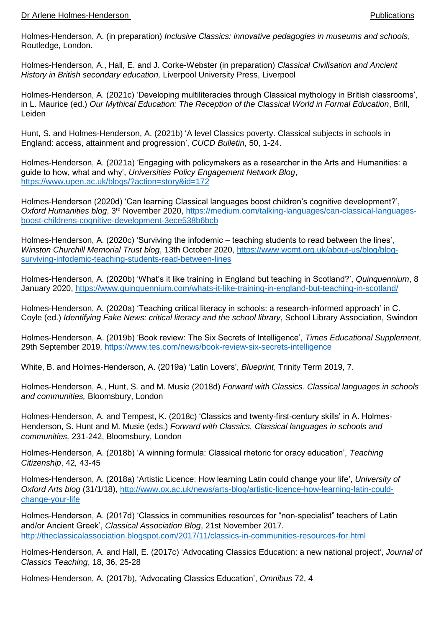## Dr Arlene Holmes-Henderson Publications

Holmes-Henderson, A. (in preparation) *Inclusive Classics: innovative pedagogies in museums and schools*, Routledge, London.

Holmes-Henderson, A., Hall, E. and J. Corke-Webster (in preparation) *Classical Civilisation and Ancient History in British secondary education,* Liverpool University Press, Liverpool

Holmes-Henderson, A. (2021c) 'Developing multiliteracies through Classical mythology in British classrooms', in L. Maurice (ed.) *Our Mythical Education: The Reception of the Classical World in Formal Education*, Brill, Leiden

Hunt, S. and Holmes-Henderson, A. (2021b) 'A level Classics poverty. Classical subjects in schools in England: access, attainment and progression', *CUCD Bulletin*, 50, 1-24.

Holmes-Henderson, A. (2021a) 'Engaging with policymakers as a researcher in the Arts and Humanities: a guide to how, what and why', *Universities Policy Engagement Network Blog*, <https://www.upen.ac.uk/blogs/?action=story&id=172>

Holmes-Henderson (2020d) 'Can learning Classical languages boost children's cognitive development?', *Oxford Humanities blog*, 3rd November 2020, [https://medium.com/talking-languages/can-classical-languages](https://medium.com/talking-languages/can-classical-languages-boost-childrens-cognitive-development-3ece538b6bcb)[boost-childrens-cognitive-development-3ece538b6bcb](https://medium.com/talking-languages/can-classical-languages-boost-childrens-cognitive-development-3ece538b6bcb)

Holmes-Henderson, A. (2020c) 'Surviving the infodemic – teaching students to read between the lines', *Winston Churchill Memorial Trust blog*, 13th October 2020, [https://www.wcmt.org.uk/about-us/blog/blog](https://www.wcmt.org.uk/about-us/blog/blog-surviving-infodemic-teaching-students-read-between-lines)[surviving-infodemic-teaching-students-read-between-lines](https://www.wcmt.org.uk/about-us/blog/blog-surviving-infodemic-teaching-students-read-between-lines)

Holmes-Henderson, A. (2020b) 'What's it like training in England but teaching in Scotland?', *Quinquennium*, 8 January 2020,<https://www.quinquennium.com/whats-it-like-training-in-england-but-teaching-in-scotland/>

Holmes-Henderson, A. (2020a) 'Teaching critical literacy in schools: a research-informed approach' in C. Coyle (ed.) *Identifying Fake News: critical literacy and the school library*, School Library Association, Swindon

Holmes-Henderson, A. (2019b) 'Book review: The Six Secrets of Intelligence', *Times Educational Supplement*, 29th September 2019,<https://www.tes.com/news/book-review-six-secrets-intelligence>

White, B. and Holmes-Henderson, A. (2019a) 'Latin Lovers', *Blueprint*, Trinity Term 2019, 7.

Holmes-Henderson, A., Hunt, S. and M. Musie (2018d) *Forward with Classics. Classical languages in schools and communities,* Bloomsbury, London

Holmes-Henderson, A. and Tempest, K. (2018c) 'Classics and twenty-first-century skills' in A. Holmes-Henderson, S. Hunt and M. Musie (eds.) *Forward with Classics. Classical languages in schools and communities,* 231-242, Bloomsbury, London

Holmes-Henderson, A. (2018b) 'A winning formula: Classical rhetoric for oracy education', *Teaching Citizenship*, 42*,* 43-45

Holmes-Henderson, A. (2018a) 'Artistic Licence: How learning Latin could change your life', *University of Oxford Arts blog* (31/1/18), [http://www.ox.ac.uk/news/arts-blog/artistic-licence-how-learning-latin-could](http://www.ox.ac.uk/news/arts-blog/artistic-licence-how-learning-latin-could-change-your-life)[change-your-life](http://www.ox.ac.uk/news/arts-blog/artistic-licence-how-learning-latin-could-change-your-life)

Holmes-Henderson, A. (2017d) 'Classics in communities resources for "non-specialist" teachers of Latin and/or Ancient Greek', *Classical Association Blog*, 21st November 2017. <http://theclassicalassociation.blogspot.com/2017/11/classics-in-communities-resources-for.html>

Holmes-Henderson, A. and Hall, E. (2017c) 'Advocating Classics Education: a new national project', *Journal of Classics Teaching*, 18, 36, 25-28

Holmes-Henderson, A. (2017b), 'Advocating Classics Education', *Omnibus* 72, 4